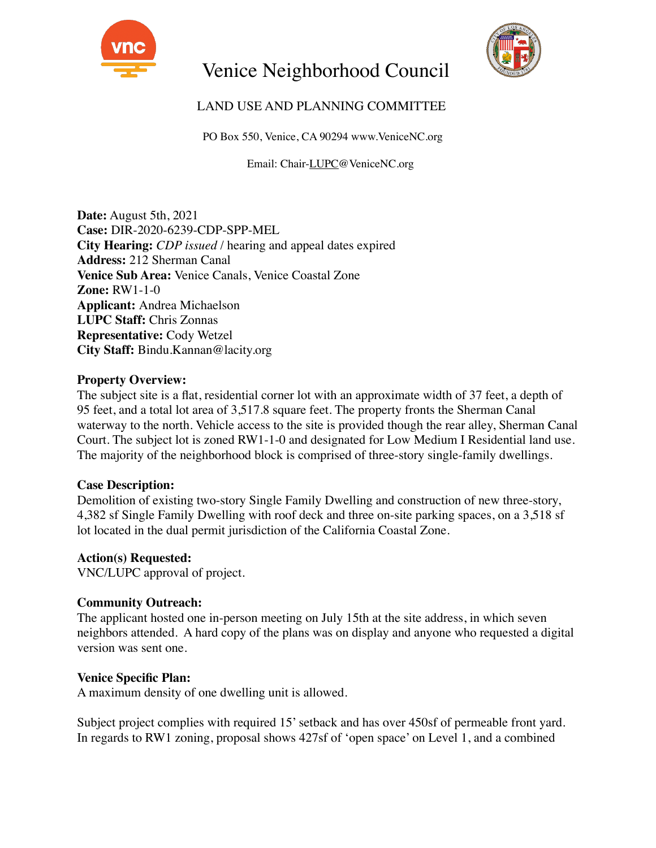

# Venice Neighborhood Council



## LAND USE AND PLANNING COMMITTEE

PO Box 550, Venice, CA 90294 www.VeniceNC.org

Email: Chair-LUPC@VeniceNC.org

**Date:** August 5th, 2021 **Case:** DIR-2020-6239-CDP-SPP-MEL **City Hearing:** *CDP issued* / hearing and appeal dates expired **Address:** 212 Sherman Canal **Venice Sub Area:** Venice Canals, Venice Coastal Zone **Zone:** RW1-1-0 **Applicant:** Andrea Michaelson **LUPC Staff:** Chris Zonnas **Representative:** Cody Wetzel **City Staff:** Bindu.Kannan@lacity.org

#### **Property Overview:**

The subject site is a flat, residential corner lot with an approximate width of 37 feet, a depth of 95 feet, and a total lot area of 3,517.8 square feet. The property fronts the Sherman Canal waterway to the north. Vehicle access to the site is provided though the rear alley, Sherman Canal Court. The subject lot is zoned RW1-1-0 and designated for Low Medium I Residential land use. The majority of the neighborhood block is comprised of three-story single-family dwellings.

### **Case Description:**

Demolition of existing two-story Single Family Dwelling and construction of new three-story, 4,382 sf Single Family Dwelling with roof deck and three on-site parking spaces, on a 3,518 sf lot located in the dual permit jurisdiction of the California Coastal Zone.

#### **Action(s) Requested:**

VNC/LUPC approval of project.

#### **Community Outreach:**

The applicant hosted one in-person meeting on July 15th at the site address, in which seven neighbors attended. A hard copy of the plans was on display and anyone who requested a digital version was sent one.

#### **Venice Specific Plan:**

A maximum density of one dwelling unit is allowed.

Subject project complies with required 15' setback and has over 450sf of permeable front yard. In regards to RW1 zoning, proposal shows 427sf of 'open space' on Level 1, and a combined